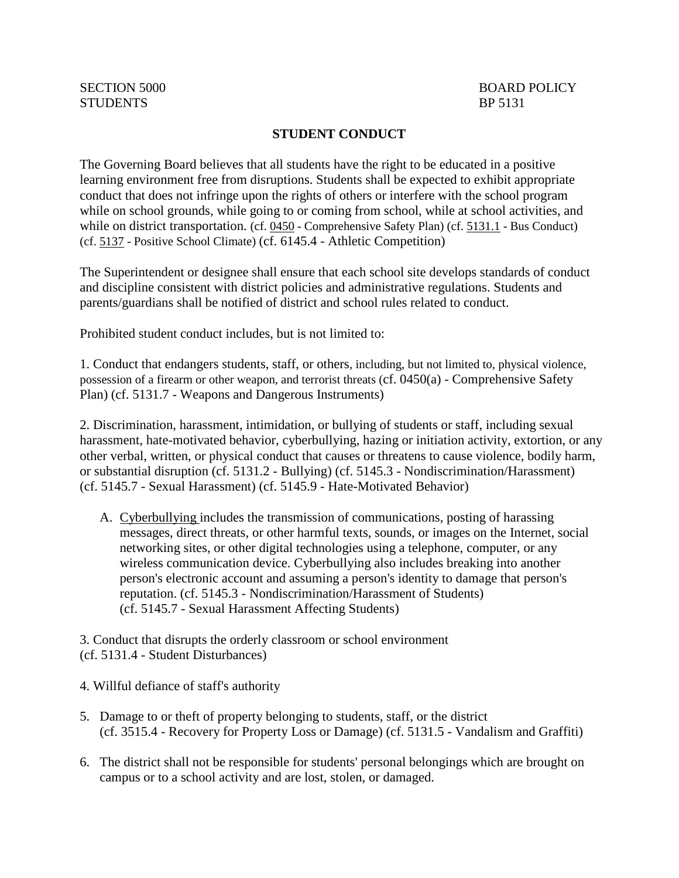## **STUDENT CONDUCT**

The Governing Board believes that all students have the right to be educated in a positive learning environment free from disruptions. Students shall be expected to exhibit appropriate conduct that does not infringe upon the rights of others or interfere with the school program while on school grounds, while going to or coming from school, while at school activities, and while on district transportation. (cf. [0450](http://gamutonline.net/displayPolicy/352629/5) - Comprehensive Safety Plan) (cf. [5131.1](http://gamutonline.net/displayPolicy/170885/5) - Bus Conduct) (cf. [5137](http://gamutonline.net/displayPolicy/170904/5) - Positive School Climate) (cf. 6145.4 - Athletic Competition)

The Superintendent or designee shall ensure that each school site develops standards of conduct and discipline consistent with district policies and administrative regulations. Students and parents/guardians shall be notified of district and school rules related to conduct.

Prohibited student conduct includes, but is not limited to:

1. Conduct that endangers students, staff, or others, including, but not limited to, physical violence, possession of a firearm or other weapon, and terrorist threats (cf. 0450(a) - Comprehensive Safety Plan) (cf. 5131.7 - Weapons and Dangerous Instruments)

2. Discrimination, harassment, intimidation, or bullying of students or staff, including sexual harassment, hate-motivated behavior, cyberbullying, hazing or initiation activity, extortion, or any other verbal, written, or physical conduct that causes or threatens to cause violence, bodily harm, or substantial disruption (cf. 5131.2 - Bullying) (cf. 5145.3 - Nondiscrimination/Harassment) (cf. 5145.7 - Sexual Harassment) (cf. 5145.9 - Hate-Motivated Behavior)

A. Cyberbullying includes the transmission of communications, posting of harassing messages, direct threats, or other harmful texts, sounds, or images on the Internet, social networking sites, or other digital technologies using a telephone, computer, or any wireless communication device. Cyberbullying also includes breaking into another person's electronic account and assuming a person's identity to damage that person's reputation. (cf. 5145.3 - Nondiscrimination/Harassment of Students) (cf. 5145.7 - Sexual Harassment Affecting Students)

3. Conduct that disrupts the orderly classroom or school environment (cf. 5131.4 - Student Disturbances)

4. Willful defiance of staff's authority

- 5. Damage to or theft of property belonging to students, staff, or the district (cf. 3515.4 - Recovery for Property Loss or Damage) (cf. 5131.5 - Vandalism and Graffiti)
- 6. The district shall not be responsible for students' personal belongings which are brought on campus or to a school activity and are lost, stolen, or damaged.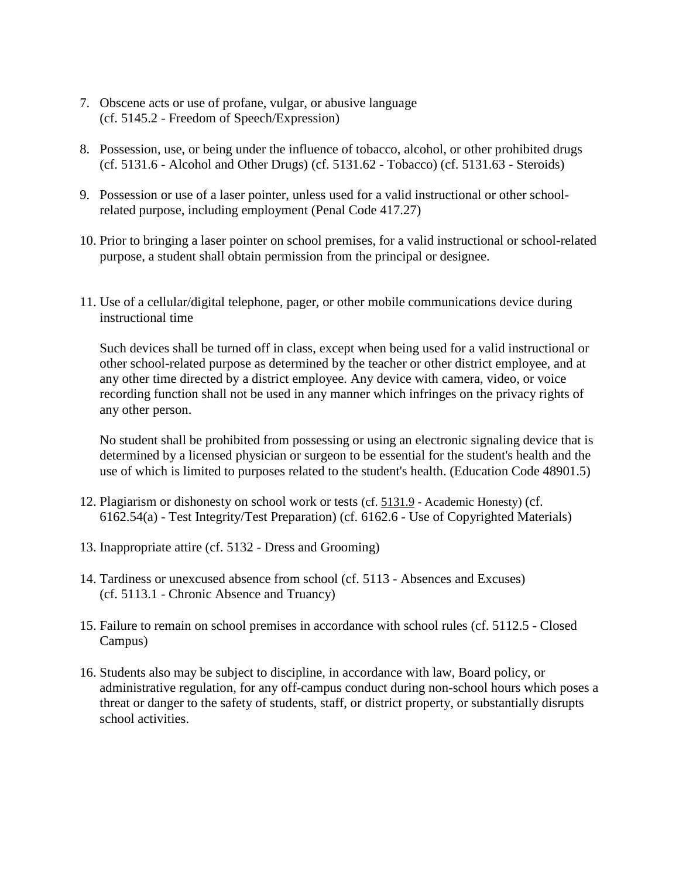- 7. Obscene acts or use of profane, vulgar, or abusive language (cf. 5145.2 - Freedom of Speech/Expression)
- 8. Possession, use, or being under the influence of tobacco, alcohol, or other prohibited drugs (cf. 5131.6 - Alcohol and Other Drugs) (cf. 5131.62 - Tobacco) (cf. 5131.63 - Steroids)
- 9. Possession or use of a laser pointer, unless used for a valid instructional or other schoolrelated purpose, including employment (Penal Code 417.27)
- 10. Prior to bringing a laser pointer on school premises, for a valid instructional or school-related purpose, a student shall obtain permission from the principal or designee.
- 11. Use of a cellular/digital telephone, pager, or other mobile communications device during instructional time

Such devices shall be turned off in class, except when being used for a valid instructional or other school-related purpose as determined by the teacher or other district employee, and at any other time directed by a district employee. Any device with camera, video, or voice recording function shall not be used in any manner which infringes on the privacy rights of any other person.

No student shall be prohibited from possessing or using an electronic signaling device that is determined by a licensed physician or surgeon to be essential for the student's health and the use of which is limited to purposes related to the student's health. (Education Code 48901.5)

- 12. Plagiarism or dishonesty on school work or tests (cf. [5131.9](http://gamutonline.net/displayPolicy/222832/5) Academic Honesty) (cf. 6162.54(a) - Test Integrity/Test Preparation) (cf. 6162.6 - Use of Copyrighted Materials)
- 13. Inappropriate attire (cf. 5132 Dress and Grooming)
- 14. Tardiness or unexcused absence from school (cf. 5113 Absences and Excuses) (cf. 5113.1 - Chronic Absence and Truancy)
- 15. Failure to remain on school premises in accordance with school rules (cf. 5112.5 Closed Campus)
- 16. Students also may be subject to discipline, in accordance with law, Board policy, or administrative regulation, for any off-campus conduct during non-school hours which poses a threat or danger to the safety of students, staff, or district property, or substantially disrupts school activities.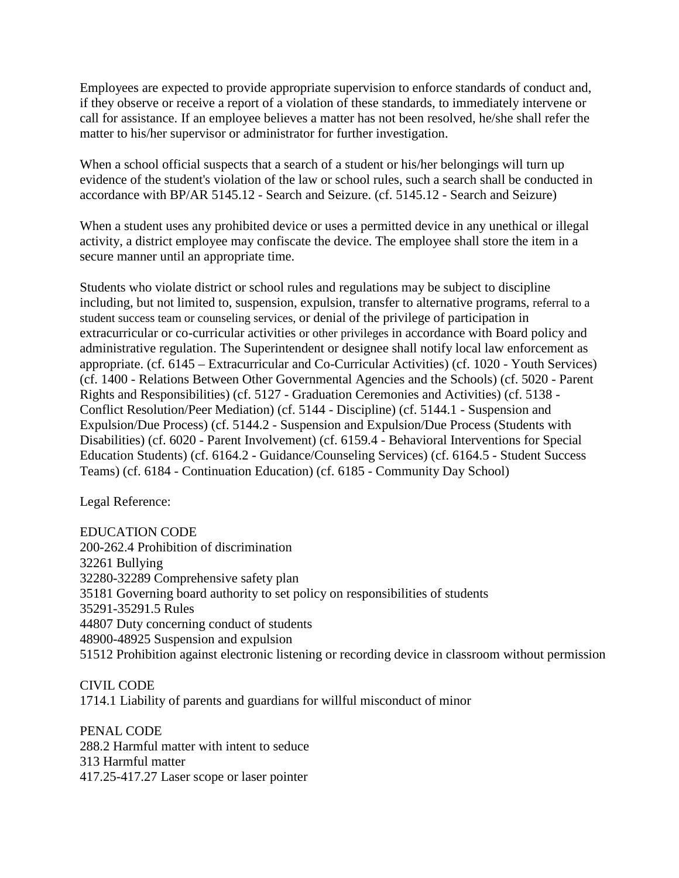Employees are expected to provide appropriate supervision to enforce standards of conduct and, if they observe or receive a report of a violation of these standards, to immediately intervene or call for assistance. If an employee believes a matter has not been resolved, he/she shall refer the matter to his/her supervisor or administrator for further investigation.

When a school official suspects that a search of a student or his/her belongings will turn up evidence of the student's violation of the law or school rules, such a search shall be conducted in accordance with BP/AR 5145.12 - Search and Seizure. (cf. 5145.12 - Search and Seizure)

When a student uses any prohibited device or uses a permitted device in any unethical or illegal activity, a district employee may confiscate the device. The employee shall store the item in a secure manner until an appropriate time.

Students who violate district or school rules and regulations may be subject to discipline including, but not limited to, suspension, expulsion, transfer to alternative programs, referral to a student success team or counseling services, or denial of the privilege of participation in extracurricular or co-curricular activities or other privileges in accordance with Board policy and administrative regulation. The Superintendent or designee shall notify local law enforcement as appropriate. (cf. 6145 – Extracurricular and Co-Curricular Activities) (cf. 1020 - Youth Services) (cf. 1400 - Relations Between Other Governmental Agencies and the Schools) (cf. 5020 - Parent Rights and Responsibilities) (cf. 5127 - Graduation Ceremonies and Activities) (cf. 5138 - Conflict Resolution/Peer Mediation) (cf. 5144 - Discipline) (cf. 5144.1 - Suspension and Expulsion/Due Process) (cf. 5144.2 - Suspension and Expulsion/Due Process (Students with Disabilities) (cf. 6020 - Parent Involvement) (cf. 6159.4 - Behavioral Interventions for Special Education Students) (cf. 6164.2 - Guidance/Counseling Services) (cf. 6164.5 - Student Success Teams) (cf. 6184 - Continuation Education) (cf. 6185 - Community Day School)

Legal Reference:

EDUCATION CODE 200-262.4 Prohibition of discrimination 32261 Bullying 32280-32289 Comprehensive safety plan 35181 Governing board authority to set policy on responsibilities of students 35291-35291.5 Rules 44807 Duty concerning conduct of students 48900-48925 Suspension and expulsion 51512 Prohibition against electronic listening or recording device in classroom without permission

CIVIL CODE 1714.1 Liability of parents and guardians for willful misconduct of minor

PENAL CODE 288.2 Harmful matter with intent to seduce 313 Harmful matter 417.25-417.27 Laser scope or laser pointer